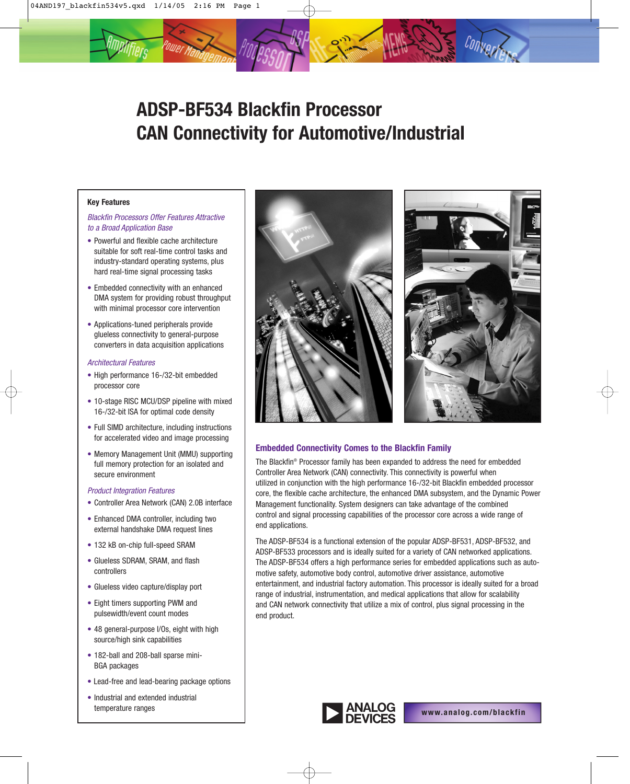# **ADSP-BF534 Blackfin Processor CAN Connectivity for Automotive/Industrial**

## **Key Features**

# Blackfin Processors Offer Features Attractive to a Broad Application Base

- Powerful and flexible cache architecture suitable for soft real-time control tasks and industry-standard operating systems, plus hard real-time signal processing tasks
- Embedded connectivity with an enhanced DMA system for providing robust throughput with minimal processor core intervention
- Applications-tuned peripherals provide glueless connectivity to general-purpose converters in data acquisition applications

## Architectural Features

- High performance 16-/32-bit embedded processor core
- 10-stage RISC MCU/DSP pipeline with mixed 16-/32-bit ISA for optimal code density
- Full SIMD architecture, including instructions for accelerated video and image processing
- Memory Management Unit (MMU) supporting full memory protection for an isolated and secure environment

## Product Integration Features

- Controller Area Network (CAN) 2.0B interface
- Enhanced DMA controller, including two external handshake DMA request lines
- 132 kB on-chip full-speed SRAM
- Glueless SDRAM, SRAM, and flash controllers
- Glueless video capture/display port
- Eight timers supporting PWM and pulsewidth/event count modes
- 48 general-purpose I/Os, eight with high source/high sink capabilities
- 182-ball and 208-ball sparse mini-BGA packages
- Lead-free and lead-bearing package options
- Industrial and extended industrial temperature ranges





# **Embedded Connectivity Comes to the Blackfin Family**

The Blackfin® Processor family has been expanded to address the need for embedded Controller Area Network (CAN) connectivity. This connectivity is powerful when utilized in conjunction with the high performance 16-/32-bit Blackfin embedded processor core, the flexible cache architecture, the enhanced DMA subsystem, and the Dynamic Power Management functionality. System designers can take advantage of the combined control and signal processing capabilities of the processor core across a wide range of end applications.

The ADSP-BF534 is a functional extension of the popular ADSP-BF531, ADSP-BF532, and ADSP-BF533 processors and is ideally suited for a variety of CAN networked applications. The ADSP-BF534 offers a high performance series for embedded applications such as automotive safety, automotive body control, automotive driver assistance, automotive entertainment, and industrial factory automation. This processor is ideally suited for a broad range of industrial, instrumentation, and medical applications that allow for scalability and CAN network connectivity that utilize a mix of control, plus signal processing in the end product.